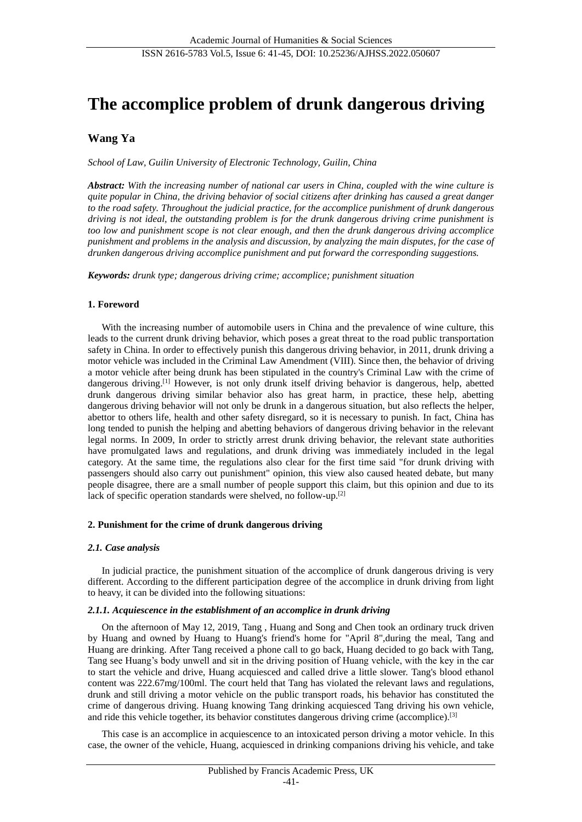# **The accomplice problem of drunk dangerous driving**

## **Wang Ya**

*School of Law, Guilin University of Electronic Technology, Guilin, China*

*Abstract: With the increasing number of national car users in China, coupled with the wine culture is quite popular in China, the driving behavior of social citizens after drinking has caused a great danger to the road safety. Throughout the judicial practice, for the accomplice punishment of drunk dangerous driving is not ideal, the outstanding problem is for the drunk dangerous driving crime punishment is too low and punishment scope is not clear enough, and then the drunk dangerous driving accomplice punishment and problems in the analysis and discussion, by analyzing the main disputes, for the case of drunken dangerous driving accomplice punishment and put forward the corresponding suggestions.*

*Keywords: drunk type; dangerous driving crime; accomplice; punishment situation*

#### **1. Foreword**

With the increasing number of automobile users in China and the prevalence of wine culture, this leads to the current drunk driving behavior, which poses a great threat to the road public transportation safety in China. In order to effectively punish this dangerous driving behavior, in 2011, drunk driving a motor vehicle was included in the Criminal Law Amendment (VIII). Since then, the behavior of driving a motor vehicle after being drunk has been stipulated in the country's Criminal Law with the crime of dangerous driving.<sup>[1]</sup> However, is not only drunk itself driving behavior is dangerous, help, abetted drunk dangerous driving similar behavior also has great harm, in practice, these help, abetting dangerous driving behavior will not only be drunk in a dangerous situation, but also reflects the helper, abettor to others life, health and other safety disregard, so it is necessary to punish. In fact, China has long tended to punish the helping and abetting behaviors of dangerous driving behavior in the relevant legal norms. In 2009, In order to strictly arrest drunk driving behavior, the relevant state authorities have promulgated laws and regulations, and drunk driving was immediately included in the legal category. At the same time, the regulations also clear for the first time said "for drunk driving with passengers should also carry out punishment" opinion, this view also caused heated debate, but many people disagree, there are a small number of people support this claim, but this opinion and due to its lack of specific operation standards were shelved, no follow-up.[2]

#### **2. Punishment for the crime of drunk dangerous driving**

#### *2.1. Case analysis*

In judicial practice, the punishment situation of the accomplice of drunk dangerous driving is very different. According to the different participation degree of the accomplice in drunk driving from light to heavy, it can be divided into the following situations:

#### *2.1.1. Acquiescence in the establishment of an accomplice in drunk driving*

On the afternoon of May 12, 2019, Tang , Huang and Song and Chen took an ordinary truck driven by Huang and owned by Huang to Huang's friend's home for "April 8",during the meal, Tang and Huang are drinking. After Tang received a phone call to go back, Huang decided to go back with Tang, Tang see Huang's body unwell and sit in the driving position of Huang vehicle, with the key in the car to start the vehicle and drive, Huang acquiesced and called drive a little slower. Tang's blood ethanol content was 222.67mg/100ml. The court held that Tang has violated the relevant laws and regulations, drunk and still driving a motor vehicle on the public transport roads, his behavior has constituted the crime of dangerous driving. Huang knowing Tang drinking acquiesced Tang driving his own vehicle, and ride this vehicle together, its behavior constitutes dangerous driving crime (accomplice).[3]

This case is an accomplice in acquiescence to an intoxicated person driving a motor vehicle. In this case, the owner of the vehicle, Huang, acquiesced in drinking companions driving his vehicle, and take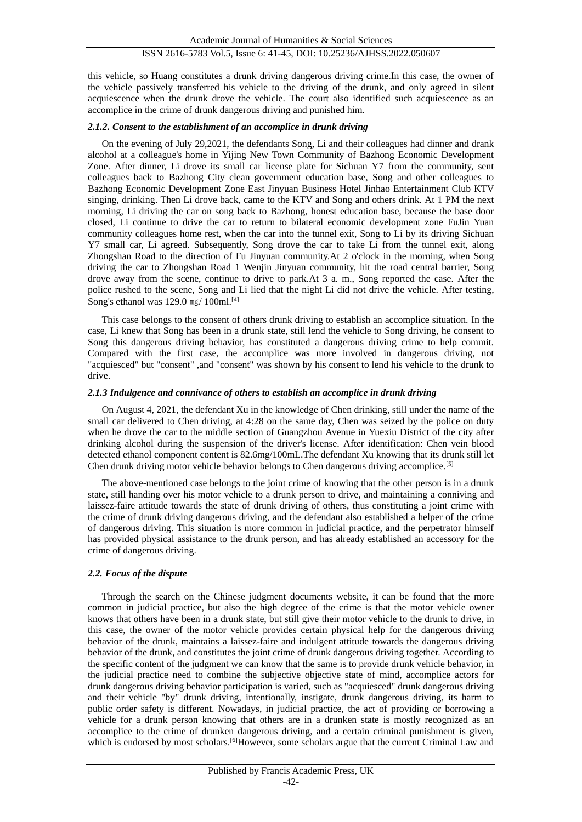this vehicle, so Huang constitutes a drunk driving dangerous driving crime.In this case, the owner of the vehicle passively transferred his vehicle to the driving of the drunk, and only agreed in silent acquiescence when the drunk drove the vehicle. The court also identified such acquiescence as an accomplice in the crime of drunk dangerous driving and punished him.

#### *2.1.2. Consent to the establishment of an accomplice in drunk driving*

On the evening of July 29,2021, the defendants Song, Li and their colleagues had dinner and drank alcohol at a colleague's home in Yijing New Town Community of Bazhong Economic Development Zone. After dinner, Li drove its small car license plate for Sichuan Y7 from the community, sent colleagues back to Bazhong City clean government education base, Song and other colleagues to Bazhong Economic Development Zone East Jinyuan Business Hotel Jinhao Entertainment Club KTV singing, drinking. Then Li drove back, came to the KTV and Song and others drink. At 1 PM the next morning, Li driving the car on song back to Bazhong, honest education base, because the base door closed, Li continue to drive the car to return to bilateral economic development zone FuJin Yuan community colleagues home rest, when the car into the tunnel exit, Song to Li by its driving Sichuan Y7 small car, Li agreed. Subsequently, Song drove the car to take Li from the tunnel exit, along Zhongshan Road to the direction of Fu Jinyuan community.At 2 o'clock in the morning, when Song driving the car to Zhongshan Road 1 Wenjin Jinyuan community, hit the road central barrier, Song drove away from the scene, continue to drive to park.At 3 a. m., Song reported the case. After the police rushed to the scene, Song and Li lied that the night Li did not drive the vehicle. After testing, Song's ethanol was  $129.0$  mg/ $100$ ml.<sup>[4]</sup>

This case belongs to the consent of others drunk driving to establish an accomplice situation. In the case, Li knew that Song has been in a drunk state, still lend the vehicle to Song driving, he consent to Song this dangerous driving behavior, has constituted a dangerous driving crime to help commit. Compared with the first case, the accomplice was more involved in dangerous driving, not "acquiesced" but "consent" ,and "consent" was shown by his consent to lend his vehicle to the drunk to drive.

#### *2.1.3 Indulgence and connivance of others to establish an accomplice in drunk driving*

On August 4, 2021, the defendant Xu in the knowledge of Chen drinking, still under the name of the small car delivered to Chen driving, at 4:28 on the same day, Chen was seized by the police on duty when he drove the car to the middle section of Guangzhou Avenue in Yuexiu District of the city after drinking alcohol during the suspension of the driver's license. After identification: Chen vein blood detected ethanol component content is 82.6mg/100mL.The defendant Xu knowing that its drunk still let Chen drunk driving motor vehicle behavior belongs to Chen dangerous driving accomplice.[5]

The above-mentioned case belongs to the joint crime of knowing that the other person is in a drunk state, still handing over his motor vehicle to a drunk person to drive, and maintaining a conniving and laissez-faire attitude towards the state of drunk driving of others, thus constituting a joint crime with the crime of drunk driving dangerous driving, and the defendant also established a helper of the crime of dangerous driving. This situation is more common in judicial practice, and the perpetrator himself has provided physical assistance to the drunk person, and has already established an accessory for the crime of dangerous driving.

## *2.2. Focus of the dispute*

Through the search on the Chinese judgment documents website, it can be found that the more common in judicial practice, but also the high degree of the crime is that the motor vehicle owner knows that others have been in a drunk state, but still give their motor vehicle to the drunk to drive, in this case, the owner of the motor vehicle provides certain physical help for the dangerous driving behavior of the drunk, maintains a laissez-faire and indulgent attitude towards the dangerous driving behavior of the drunk, and constitutes the joint crime of drunk dangerous driving together. According to the specific content of the judgment we can know that the same is to provide drunk vehicle behavior, in the judicial practice need to combine the subjective objective state of mind, accomplice actors for drunk dangerous driving behavior participation is varied, such as "acquiesced" drunk dangerous driving and their vehicle "by" drunk driving, intentionally, instigate, drunk dangerous driving, its harm to public order safety is different. Nowadays, in judicial practice, the act of providing or borrowing a vehicle for a drunk person knowing that others are in a drunken state is mostly recognized as an accomplice to the crime of drunken dangerous driving, and a certain criminal punishment is given, which is endorsed by most scholars.<sup>[6]</sup>However, some scholars argue that the current Criminal Law and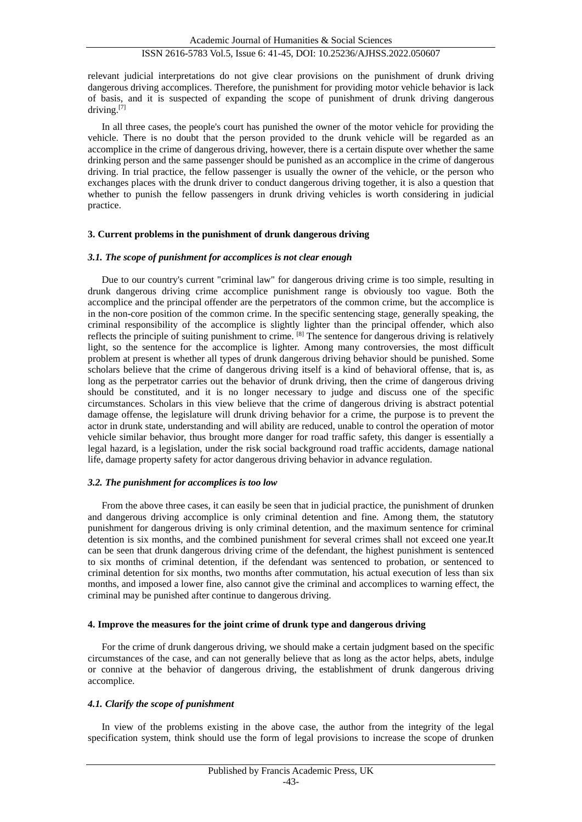## ISSN 2616-5783 Vol.5, Issue 6: 41-45, DOI: 10.25236/AJHSS.2022.050607

relevant judicial interpretations do not give clear provisions on the punishment of drunk driving dangerous driving accomplices. Therefore, the punishment for providing motor vehicle behavior is lack of basis, and it is suspected of expanding the scope of punishment of drunk driving dangerous driving.[7]

In all three cases, the people's court has punished the owner of the motor vehicle for providing the vehicle. There is no doubt that the person provided to the drunk vehicle will be regarded as an accomplice in the crime of dangerous driving, however, there is a certain dispute over whether the same drinking person and the same passenger should be punished as an accomplice in the crime of dangerous driving. In trial practice, the fellow passenger is usually the owner of the vehicle, or the person who exchanges places with the drunk driver to conduct dangerous driving together, it is also a question that whether to punish the fellow passengers in drunk driving vehicles is worth considering in judicial practice.

#### **3. Current problems in the punishment of drunk dangerous driving**

#### *3.1. The scope of punishment for accomplices is not clear enough*

Due to our country's current "criminal law" for dangerous driving crime is too simple, resulting in drunk dangerous driving crime accomplice punishment range is obviously too vague. Both the accomplice and the principal offender are the perpetrators of the common crime, but the accomplice is in the non-core position of the common crime. In the specific sentencing stage, generally speaking, the criminal responsibility of the accomplice is slightly lighter than the principal offender, which also reflects the principle of suiting punishment to crime. [8] The sentence for dangerous driving is relatively light, so the sentence for the accomplice is lighter. Among many controversies, the most difficult problem at present is whether all types of drunk dangerous driving behavior should be punished. Some scholars believe that the crime of dangerous driving itself is a kind of behavioral offense, that is, as long as the perpetrator carries out the behavior of drunk driving, then the crime of dangerous driving should be constituted, and it is no longer necessary to judge and discuss one of the specific circumstances. Scholars in this view believe that the crime of dangerous driving is abstract potential damage offense, the legislature will drunk driving behavior for a crime, the purpose is to prevent the actor in drunk state, understanding and will ability are reduced, unable to control the operation of motor vehicle similar behavior, thus brought more danger for road traffic safety, this danger is essentially a legal hazard, is a legislation, under the risk social background road traffic accidents, damage national life, damage property safety for actor dangerous driving behavior in advance regulation.

#### *3.2. The punishment for accomplices is too low*

From the above three cases, it can easily be seen that in judicial practice, the punishment of drunken and dangerous driving accomplice is only criminal detention and fine. Among them, the statutory punishment for dangerous driving is only criminal detention, and the maximum sentence for criminal detention is six months, and the combined punishment for several crimes shall not exceed one year.It can be seen that drunk dangerous driving crime of the defendant, the highest punishment is sentenced to six months of criminal detention, if the defendant was sentenced to probation, or sentenced to criminal detention for six months, two months after commutation, his actual execution of less than six months, and imposed a lower fine, also cannot give the criminal and accomplices to warning effect, the criminal may be punished after continue to dangerous driving.

#### **4. Improve the measures for the joint crime of drunk type and dangerous driving**

For the crime of drunk dangerous driving, we should make a certain judgment based on the specific circumstances of the case, and can not generally believe that as long as the actor helps, abets, indulge or connive at the behavior of dangerous driving, the establishment of drunk dangerous driving accomplice.

#### *4.1. Clarify the scope of punishment*

In view of the problems existing in the above case, the author from the integrity of the legal specification system, think should use the form of legal provisions to increase the scope of drunken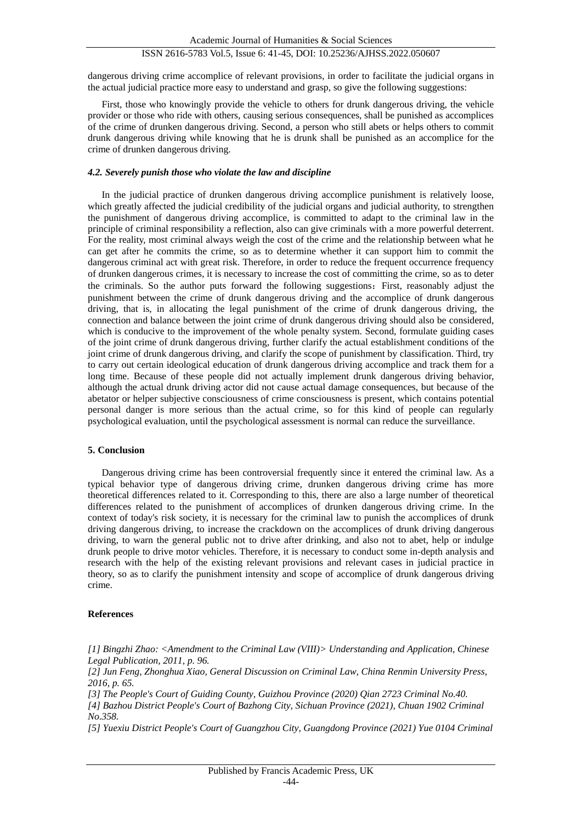## ISSN 2616-5783 Vol.5, Issue 6: 41-45, DOI: 10.25236/AJHSS.2022.050607

dangerous driving crime accomplice of relevant provisions, in order to facilitate the judicial organs in the actual judicial practice more easy to understand and grasp, so give the following suggestions:

First, those who knowingly provide the vehicle to others for drunk dangerous driving, the vehicle provider or those who ride with others, causing serious consequences, shall be punished as accomplices of the crime of drunken dangerous driving. Second, a person who still abets or helps others to commit drunk dangerous driving while knowing that he is drunk shall be punished as an accomplice for the crime of drunken dangerous driving.

#### *4.2. Severely punish those who violate the law and discipline*

In the judicial practice of drunken dangerous driving accomplice punishment is relatively loose, which greatly affected the judicial credibility of the judicial organs and judicial authority, to strengthen the punishment of dangerous driving accomplice, is committed to adapt to the criminal law in the principle of criminal responsibility a reflection, also can give criminals with a more powerful deterrent. For the reality, most criminal always weigh the cost of the crime and the relationship between what he can get after he commits the crime, so as to determine whether it can support him to commit the dangerous criminal act with great risk. Therefore, in order to reduce the frequent occurrence frequency of drunken dangerous crimes, it is necessary to increase the cost of committing the crime, so as to deter the criminals. So the author puts forward the following suggestions: First, reasonably adjust the punishment between the crime of drunk dangerous driving and the accomplice of drunk dangerous driving, that is, in allocating the legal punishment of the crime of drunk dangerous driving, the connection and balance between the joint crime of drunk dangerous driving should also be considered, which is conducive to the improvement of the whole penalty system. Second, formulate guiding cases of the joint crime of drunk dangerous driving, further clarify the actual establishment conditions of the joint crime of drunk dangerous driving, and clarify the scope of punishment by classification. Third, try to carry out certain ideological education of drunk dangerous driving accomplice and track them for a long time. Because of these people did not actually implement drunk dangerous driving behavior, although the actual drunk driving actor did not cause actual damage consequences, but because of the abetator or helper subjective consciousness of crime consciousness is present, which contains potential personal danger is more serious than the actual crime, so for this kind of people can regularly psychological evaluation, until the psychological assessment is normal can reduce the surveillance.

#### **5. Conclusion**

Dangerous driving crime has been controversial frequently since it entered the criminal law. As a typical behavior type of dangerous driving crime, drunken dangerous driving crime has more theoretical differences related to it. Corresponding to this, there are also a large number of theoretical differences related to the punishment of accomplices of drunken dangerous driving crime. In the context of today's risk society, it is necessary for the criminal law to punish the accomplices of drunk driving dangerous driving, to increase the crackdown on the accomplices of drunk driving dangerous driving, to warn the general public not to drive after drinking, and also not to abet, help or indulge drunk people to drive motor vehicles. Therefore, it is necessary to conduct some in-depth analysis and research with the help of the existing relevant provisions and relevant cases in judicial practice in theory, so as to clarify the punishment intensity and scope of accomplice of drunk dangerous driving crime.

#### **References**

*[1] Bingzhi Zhao: <Amendment to the Criminal Law (VIII)> Understanding and Application, Chinese Legal Publication, 2011, p. 96.*

*[2] Jun Feng, Zhonghua Xiao, General Discussion on Criminal Law, China Renmin University Press, 2016, p. 65.*

*[3] The People's Court of Guiding County, Guizhou Province (2020) Qian 2723 Criminal No.40.*

*[4] Bazhou District People's Court of Bazhong City, Sichuan Province (2021), Chuan 1902 Criminal No.358.*

*[5] Yuexiu District People's Court of Guangzhou City, Guangdong Province (2021) Yue 0104 Criminal*